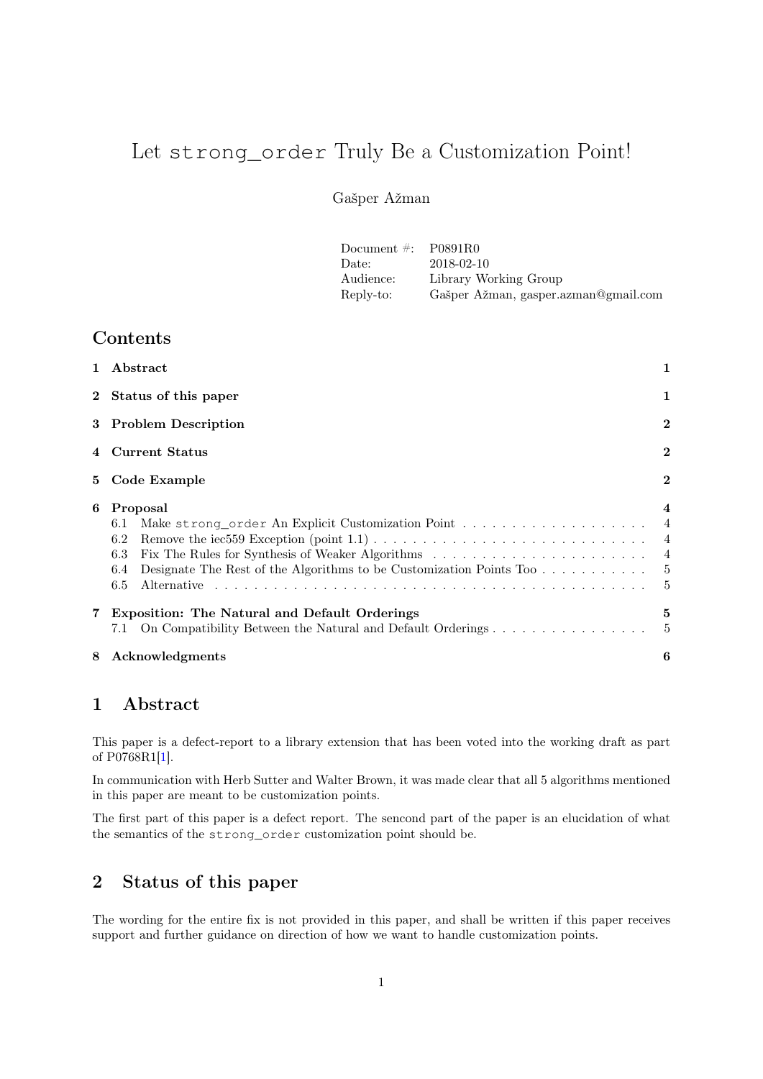# Let strong\_order Truly Be a Customization Point!

### Gašper Ažman

| Document $\#$ : P0891R0 |                                      |
|-------------------------|--------------------------------------|
| Date:                   | 2018-02-10                           |
| Audience:               | Library Working Group                |
| Reply-to:               | Gašper Ažman, gasper.azman@gmail.com |

# Contents

| $\mathbf{1}$ | Abstract                                                                                                                               | 1                                                                                 |
|--------------|----------------------------------------------------------------------------------------------------------------------------------------|-----------------------------------------------------------------------------------|
|              | 2 Status of this paper                                                                                                                 |                                                                                   |
|              | 3 Problem Description                                                                                                                  |                                                                                   |
|              | 4 Current Status                                                                                                                       |                                                                                   |
|              | 5 Code Example                                                                                                                         | $\overline{2}$                                                                    |
| 6            | Proposal<br>6.1<br>6.2<br>6.3<br>Designate The Rest of the Algorithms to be Customization Points Too $\dots \dots \dots$<br>6.4<br>6.5 | $\overline{4}$<br>$\overline{4}$<br>$\overline{4}$<br>$\overline{4}$<br>- 5<br>-5 |
|              | <b>Exposition: The Natural and Default Orderings</b><br>On Compatibility Between the Natural and Default Orderings<br>7.1              | 5<br>- 5                                                                          |
| 8            | Acknowledgments                                                                                                                        | 6                                                                                 |

### <span id="page-0-0"></span>1 Abstract

This paper is a defect-report to a library extension that has been voted into the working draft as part of P0768R1[\[1\]](#page-5-1).

In communication with Herb Sutter and Walter Brown, it was made clear that all 5 algorithms mentioned in this paper are meant to be customization points.

The first part of this paper is a defect report. The sencond part of the paper is an elucidation of what the semantics of the strong\_order customization point should be.

# <span id="page-0-1"></span>2 Status of this paper

The wording for the entire fix is not provided in this paper, and shall be written if this paper receives support and further guidance on direction of how we want to handle customization points.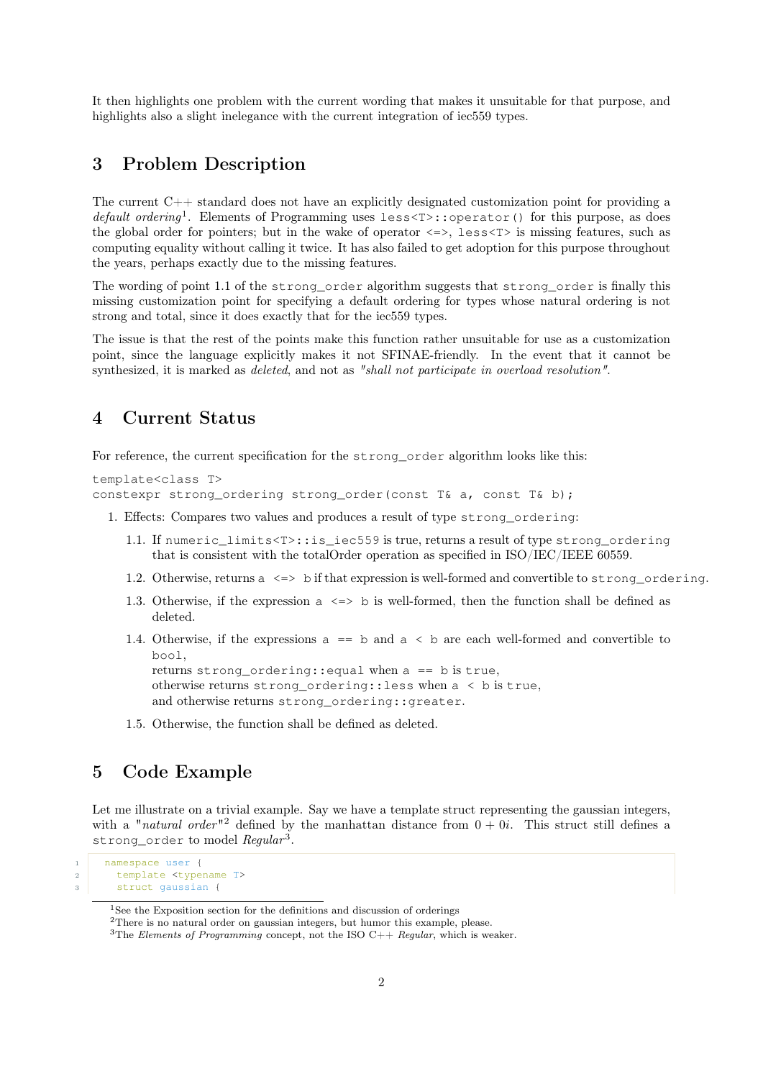It then highlights one problem with the current wording that makes it unsuitable for that purpose, and highlights also a slight inelegance with the current integration of iec559 types.

# <span id="page-1-0"></span>3 Problem Description

The current  $C_{++}$  standard does not have an explicitly designated customization point for providing a default ordering<sup>1</sup>. Elements of Programming uses less<T>::operator() for this purpose, as does the global order for pointers; but in the wake of operator  $\langle \equiv \rangle$ , less $\langle T \rangle$  is missing features, such as computing equality without calling it twice. It has also failed to get adoption for this purpose throughout the years, perhaps exactly due to the missing features.

The wording of point 1.1 of the strong\_order algorithm suggests that strong\_order is finally this missing customization point for specifying a default ordering for types whose natural ordering is not strong and total, since it does exactly that for the iec559 types.

The issue is that the rest of the points make this function rather unsuitable for use as a customization point, since the language explicitly makes it not SFINAE-friendly. In the event that it cannot be synthesized, it is marked as deleted, and not as "shall not participate in overload resolution".

### <span id="page-1-1"></span>4 Current Status

For reference, the current specification for the strong\_order algorithm looks like this:

```
template<class T>
constexpr strong_ordering strong_order(const T& a, const T& b);
```
- 1. Effects: Compares two values and produces a result of type strong\_ordering:
	- 1.1. If numeric\_limits<T>::is\_iec559 is true, returns a result of type strong\_ordering that is consistent with the totalOrder operation as specified in ISO/IEC/IEEE 60559.
	- 1.2. Otherwise, returns a <=> b if that expression is well-formed and convertible to strong\_ordering.
	- 1.3. Otherwise, if the expression  $a \leq b$  is well-formed, then the function shall be defined as deleted.
	- 1.4. Otherwise, if the expressions  $a == b$  and  $a < b$  are each well-formed and convertible to bool,

returns strong\_ordering:: equal when  $a == b$  is true, otherwise returns strong\_ordering::less when  $a < b$  is true, and otherwise returns strong\_ordering::greater.

1.5. Otherwise, the function shall be defined as deleted.

# <span id="page-1-2"></span>5 Code Example

Let me illustrate on a trivial example. Say we have a template struct representing the gaussian integers, with a "natural order"<sup>2</sup> defined by the manhattan distance from  $0 + 0i$ . This struct still defines a strong\_order to model Regular<sup>3</sup>.

```
1 namespace user {
2 template <typename T>
3 struct gaussian {
```
<sup>&</sup>lt;sup>1</sup>See the Exposition section for the definitions and discussion of orderings

<sup>2</sup>There is no natural order on gaussian integers, but humor this example, please.

<sup>&</sup>lt;sup>3</sup>The Elements of Programming concept, not the ISO C++ Regular, which is weaker.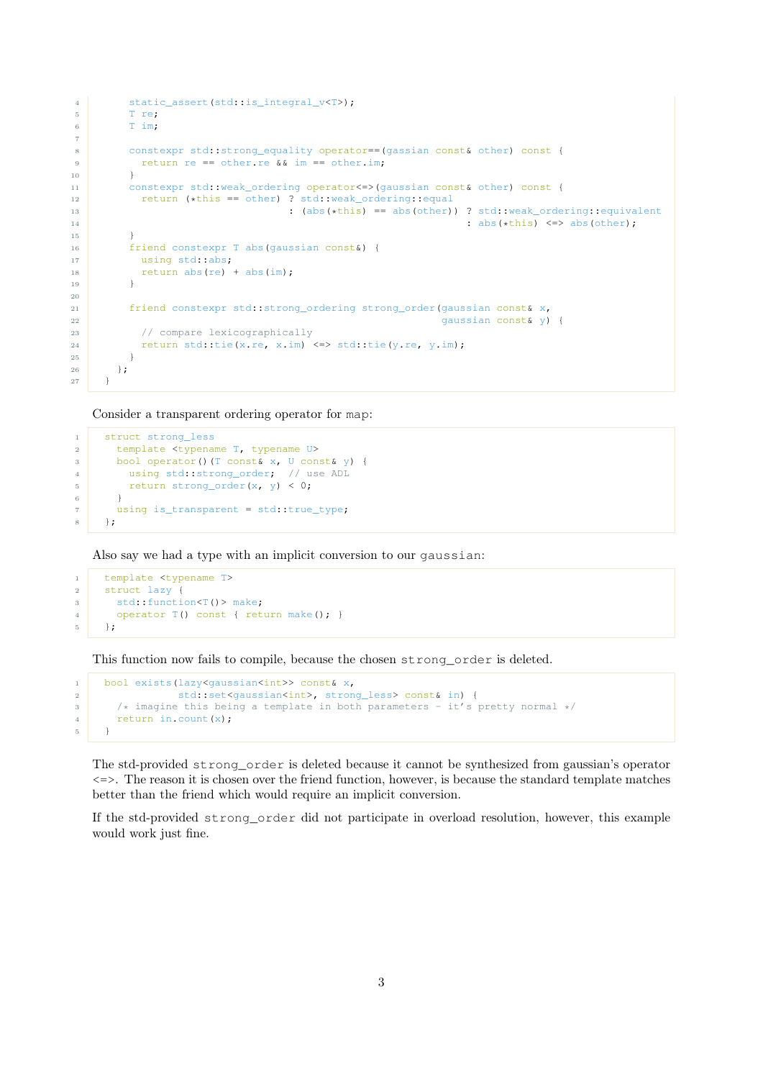```
4 static assert(std::is_integral_v<T>);
5 T re;
6 T im;
7^{\circ}8 constexpr std::strong_equality operator==(gassian const& other) const {
9 return re == other.re \& im == other.im;
10 }
11 constexpr std::weak_ordering operator <= > (gaussian const& other) const {
12 return (*this == other) ? std::weak_ordering::equal
13 : (abs(*this) == abs(other)) ? std::weak_ordering::equivalent
\frac{14}{14} : abs(*this) \left\langle \frac{1}{2} \right\rangle : abs(*this) \left\langle \frac{1}{2} \right\rangle abs(other);
15 }
16 friend constexpr T abs (gaussian const&) {
17 using std::abs;
18 return abs(re) + abs(im);
19 }
20
21 friend constexpr std::strong_ordering strong_order(gaussian const& x,
22 gaussian const& y) {
23 // compare lexicographically
24 return std::tie(x.re, x.im) <=> std::tie(y.re, y.im);
25 }
26 };
27 }
```
Consider a transparent ordering operator for map:

```
1 struct strong less
2 template <typename T, typename U>
3 bool operator()(T const& x, U const& y) {
4 using std::strong_order; // use ADL
5 return strong_order(x, y) < 0;
6 }
7 using is_transparent = std::true_type;
8 };
```
Also say we had a type with an implicit conversion to our gaussian:

```
1 template <typename T>
2 struct lazy {
3 std::function<T()> make;
4 operator T() const { return make(); }
5 \quad \}
```
This function now fails to compile, because the chosen strong\_order is deleted.

```
1 bool exists(lazy<gaussian<int>> const& x,
2 std::set<gaussian<int>, strong_less> const& in) {
3 /* imagine this being a template in both parameters - it's pretty normal */<br>return in.count(x):
      return in.count(x);
5 }
```
The std-provided strong\_order is deleted because it cannot be synthesized from gaussian's operator  $\le$   $\ge$   $\ge$ . The reason it is chosen over the friend function, however, is because the standard template matches better than the friend which would require an implicit conversion.

If the std-provided strong\_order did not participate in overload resolution, however, this example would work just fine.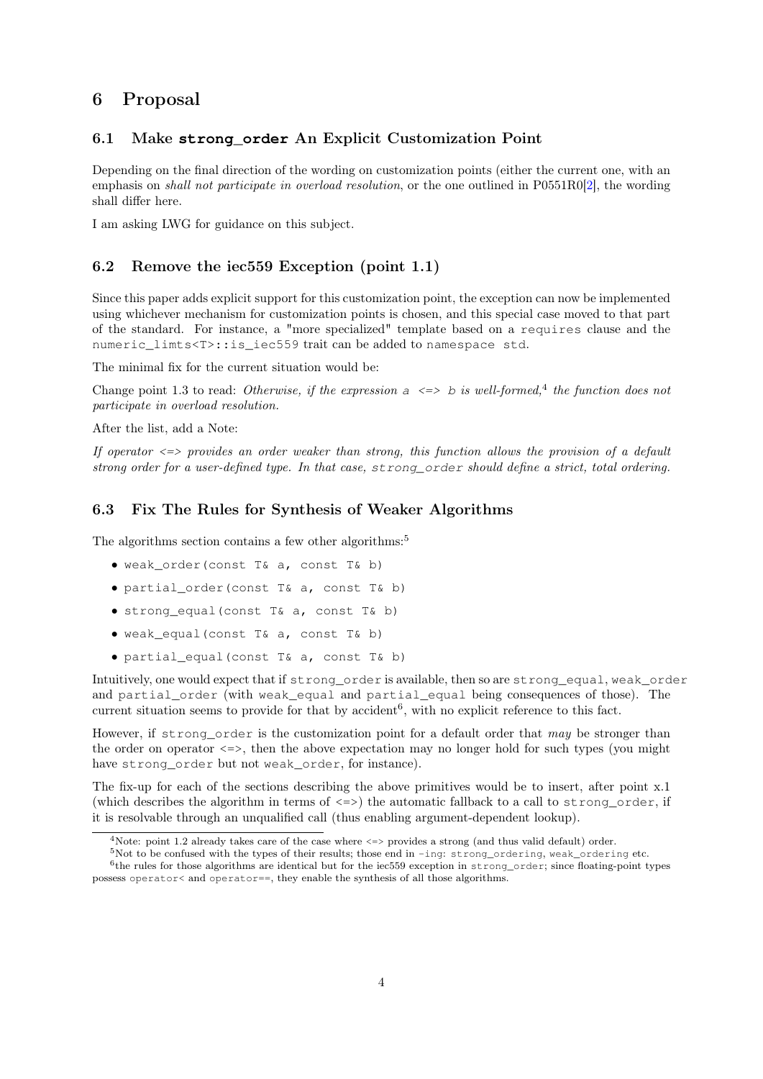### <span id="page-3-0"></span>6 Proposal

#### <span id="page-3-1"></span>6.1 Make **strong\_order** An Explicit Customization Point

Depending on the final direction of the wording on customization points (either the current one, with an emphasis on *shall not participate in overload resolution*, or the one outlined in P0551R0[\[2\]](#page-5-2), the wording shall differ here.

I am asking LWG for guidance on this subject.

### <span id="page-3-2"></span>6.2 Remove the iec559 Exception (point 1.1)

Since this paper adds explicit support for this customization point, the exception can now be implemented using whichever mechanism for customization points is chosen, and this special case moved to that part of the standard. For instance, a "more specialized" template based on a requires clause and the numeric limts<T>::is iec559 trait can be added to namespace std.

The minimal fix for the current situation would be:

Change point 1.3 to read: Otherwise, if the expression  $a \leq b$  is well-formed,<sup>4</sup> the function does not participate in overload resolution.

After the list, add a Note:

If operator  $\le$  provides an order weaker than strong, this function allows the provision of a default strong order for a user-defined type. In that case, strong\_order should define a strict, total ordering.

#### <span id="page-3-3"></span>6.3 Fix The Rules for Synthesis of Weaker Algorithms

The algorithms section contains a few other algorithms:<sup>5</sup>

- weak\_order(const T& a, const T& b)
- partial\_order(const T& a, const T& b)
- strong\_equal(const T& a, const T& b)
- weak\_equal(const T& a, const T& b)
- partial\_equal(const T& a, const T& b)

Intuitively, one would expect that if strong\_order is available, then so are strong\_equal, weak\_order and partial\_order (with weak\_equal and partial\_equal being consequences of those). The current situation seems to provide for that by accident<sup>6</sup>, with no explicit reference to this fact.

However, if strong order is the customization point for a default order that may be stronger than the order on operator  $\leq$  =>, then the above expectation may no longer hold for such types (you might have strong\_order but not weak\_order, for instance).

The fix-up for each of the sections describing the above primitives would be to insert, after point x.1 (which describes the algorithm in terms of  $\langle z \rangle$ ) the automatic fallback to a call to strong order, if it is resolvable through an unqualified call (thus enabling argument-dependent lookup).

<sup>&</sup>lt;sup>4</sup>Note: point 1.2 already takes care of the case where  $\leq$  provides a strong (and thus valid default) order.

 $5$ Not to be confused with the types of their results; those end in -ing: strong\_ordering, weak\_ordering etc.

<sup>6</sup> the rules for those algorithms are identical but for the iec559 exception in strong\_order; since floating-point types possess operator< and operator==, they enable the synthesis of all those algorithms.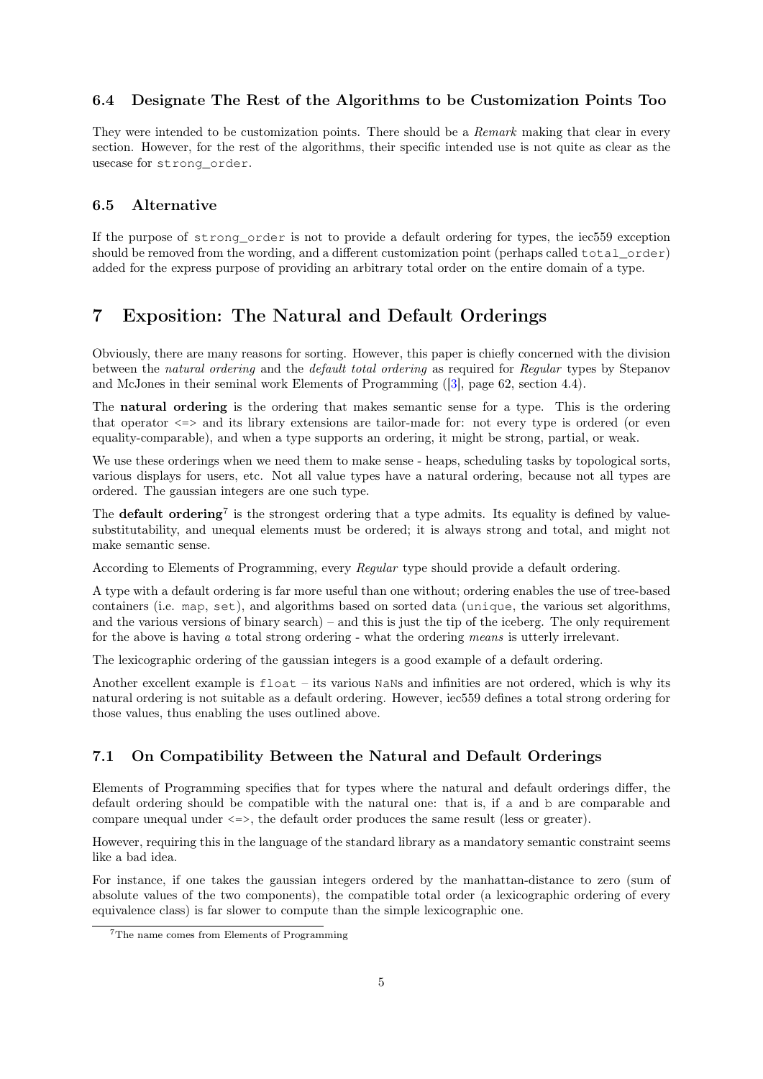### <span id="page-4-0"></span>6.4 Designate The Rest of the Algorithms to be Customization Points Too

They were intended to be customization points. There should be a Remark making that clear in every section. However, for the rest of the algorithms, their specific intended use is not quite as clear as the usecase for strong\_order.

### <span id="page-4-1"></span>6.5 Alternative

If the purpose of strong\_order is not to provide a default ordering for types, the iec559 exception should be removed from the wording, and a different customization point (perhaps called total order) added for the express purpose of providing an arbitrary total order on the entire domain of a type.

# <span id="page-4-2"></span>7 Exposition: The Natural and Default Orderings

Obviously, there are many reasons for sorting. However, this paper is chiefly concerned with the division between the natural ordering and the default total ordering as required for Regular types by Stepanov and McJones in their seminal work Elements of Programming ([\[3\]](#page-5-3), page 62, section 4.4).

The natural ordering is the ordering that makes semantic sense for a type. This is the ordering that operator <=> and its library extensions are tailor-made for: not every type is ordered (or even equality-comparable), and when a type supports an ordering, it might be strong, partial, or weak.

We use these orderings when we need them to make sense - heaps, scheduling tasks by topological sorts, various displays for users, etc. Not all value types have a natural ordering, because not all types are ordered. The gaussian integers are one such type.

The **default ordering**<sup>7</sup> is the strongest ordering that a type admits. Its equality is defined by valuesubstitutability, and unequal elements must be ordered; it is always strong and total, and might not make semantic sense.

According to Elements of Programming, every Regular type should provide a default ordering.

A type with a default ordering is far more useful than one without; ordering enables the use of tree-based containers (i.e. map, set), and algorithms based on sorted data (unique, the various set algorithms, and the various versions of binary search) – and this is just the tip of the iceberg. The only requirement for the above is having  $a$  total strong ordering - what the ordering means is utterly irrelevant.

The lexicographic ordering of the gaussian integers is a good example of a default ordering.

Another excellent example is  $float - its$  various NaNs and infinities are not ordered, which is why its natural ordering is not suitable as a default ordering. However, iec559 defines a total strong ordering for those values, thus enabling the uses outlined above.

### <span id="page-4-3"></span>7.1 On Compatibility Between the Natural and Default Orderings

Elements of Programming specifies that for types where the natural and default orderings differ, the default ordering should be compatible with the natural one: that is, if a and b are comparable and compare unequal under <=>, the default order produces the same result (less or greater).

However, requiring this in the language of the standard library as a mandatory semantic constraint seems like a bad idea.

For instance, if one takes the gaussian integers ordered by the manhattan-distance to zero (sum of absolute values of the two components), the compatible total order (a lexicographic ordering of every equivalence class) is far slower to compute than the simple lexicographic one.

<sup>7</sup>The name comes from Elements of Programming